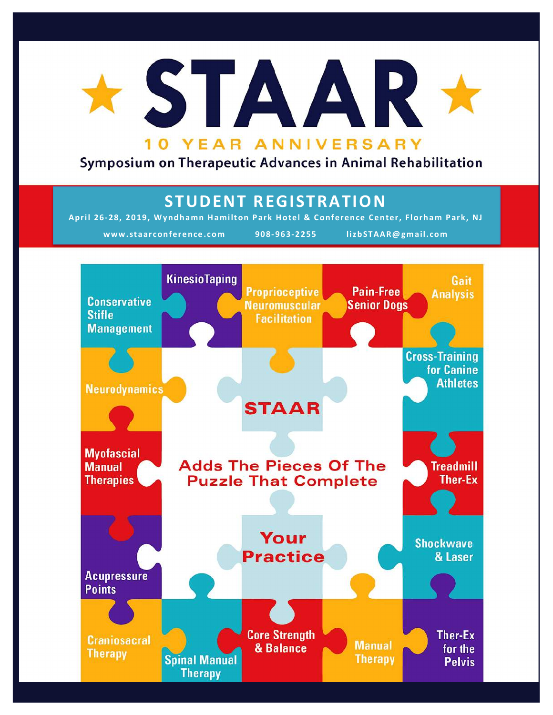

## Symposium on Therapeutic Advances in Animal Rehabilitation

# **STUDENT REGISTRATION**

April 26-28, 2019, Wyndhamn Hamilton Park Hotel & Conference Center, Florham Park, NJ **www.staarconference.com 908- 963-2255 lizbSTAAR@gmail.com**

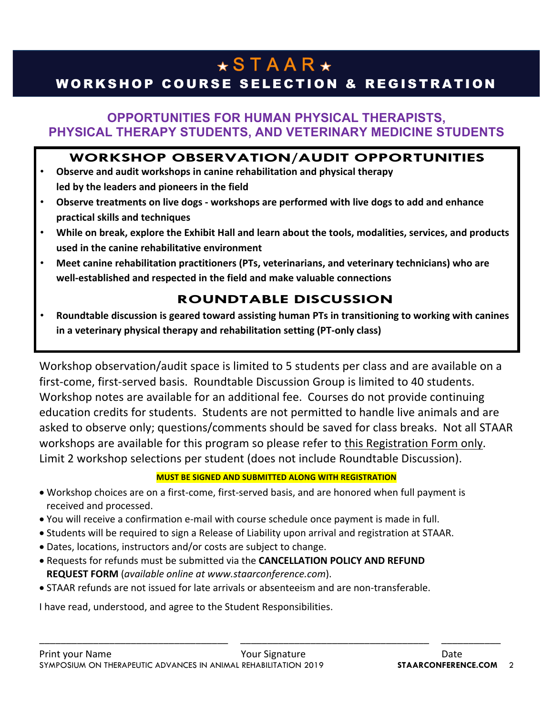# $\star$ STAAR $\star$

# WORKSHOP COURSE SELECTION & REGISTRATION

### **OPPORTUNITIES FOR HUMAN PHYSICAL THERAPISTS, PHYSICAL THERAPY STUDENTS, AND VETERINARY MEDICINE STUDENTS**

#### **WORKSHOP OBSERVATION/AUDIT OPPORTUNITIES**

- Observe and audit workshops in canine rehabilitation and physical therapy led by the leaders and pioneers in the field
- **Observe treatments on live dogs workshops are performed with live dogs to add and enhance practical skills and techniques**
- While on break, explore the Exhibit Hall and learn about the tools, modalities, services, and products used in the canine rehabilitative environment
- Meet canine rehabilitation practitioners (PTs, veterinarians, and veterinary technicians) who are well-established and respected in the field and make valuable connections

### **ROUNDTABLE DISCUSSION**

**Roundtable discussion is geared toward assisting human PTs in transitioning to working with canines** in a veterinary physical therapy and rehabilitation setting (PT-only class)

Workshop observation/audit space is limited to 5 students per class and are available on a first-come, first-served basis. Roundtable Discussion Group is limited to 40 students. Workshop notes are available for an additional fee. Courses do not provide continuing education credits for students. Students are not permitted to handle live animals and are asked to observe only; questions/comments should be saved for class breaks. Not all STAAR workshops are available for this program so please refer to this Registration Form only. Limit 2 workshop selections per student (does not include Roundtable Discussion).

#### **MUST BE SIGNED AND SUBMITTED ALONG WITH REGISTRATION**

\_\_\_\_\_\_\_\_\_\_\_\_\_\_\_\_\_\_\_\_\_\_\_\_\_\_\_\_\_\_\_\_\_\_\_ \_\_\_\_\_\_\_\_\_\_\_\_\_\_\_\_\_\_\_\_\_\_\_\_\_\_\_\_\_\_\_\_\_\_\_ \_\_\_\_\_\_\_\_\_\_\_

- Workshop choices are on a first-come, first-served basis, and are honored when full payment is received and processed.
- You will receive a confirmation e-mail with course schedule once payment is made in full.
- Students will be required to sign a Release of Liability upon arrival and registration at STAAR.
- Dates, locations, instructors and/or costs are subject to change.
- Requests for refunds must be submitted via the **CANCELLATION POLICY AND REFUND REQUEST FORM** (*available online at www.staarconference.com*).
- STAAR refunds are not issued for late arrivals or absenteeism and are non-transferable.

I have read, understood, and agree to the Student Responsibilities.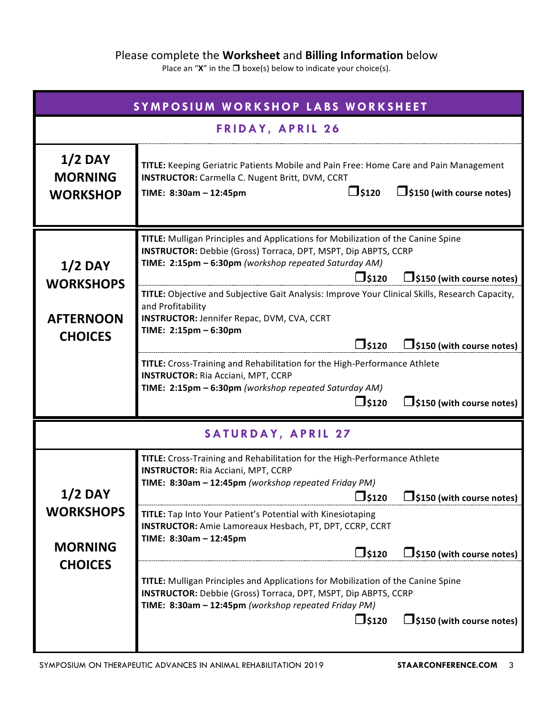#### Please complete the **Worksheet** and **Billing Information** below

Place an " $X$ " in the  $\Box$  boxe(s) below to indicate your choice(s).

| SYMPOSIUM WORKSHOP LABS WORKSHEET                                      |                                                                                                                                                                                                                                                                                                                                                                                                                                                                                                                                                                                                                                                                                                                                                                           |  |  |  |
|------------------------------------------------------------------------|---------------------------------------------------------------------------------------------------------------------------------------------------------------------------------------------------------------------------------------------------------------------------------------------------------------------------------------------------------------------------------------------------------------------------------------------------------------------------------------------------------------------------------------------------------------------------------------------------------------------------------------------------------------------------------------------------------------------------------------------------------------------------|--|--|--|
| <b>FRIDAY, APRIL 26</b>                                                |                                                                                                                                                                                                                                                                                                                                                                                                                                                                                                                                                                                                                                                                                                                                                                           |  |  |  |
| $1/2$ DAY<br><b>MORNING</b><br><b>WORKSHOP</b>                         | TITLE: Keeping Geriatric Patients Mobile and Pain Free: Home Care and Pain Management<br><b>INSTRUCTOR:</b> Carmella C. Nugent Britt, DVM, CCRT<br>$\square$ \$120<br>$\Box$ \$150 (with course notes)<br>TIME: 8:30am - 12:45pm                                                                                                                                                                                                                                                                                                                                                                                                                                                                                                                                          |  |  |  |
| $1/2$ DAY<br><b>WORKSHOPS</b><br><b>AFTERNOON</b><br><b>CHOICES</b>    | TITLE: Mulligan Principles and Applications for Mobilization of the Canine Spine<br>INSTRUCTOR: Debbie (Gross) Torraca, DPT, MSPT, Dip ABPTS, CCRP<br>TIME: 2:15pm - 6:30pm (workshop repeated Saturday AM)<br>$\square$ \$120<br>$\Box$ \$150 (with course notes)<br>TITLE: Objective and Subjective Gait Analysis: Improve Your Clinical Skills, Research Capacity,<br>and Profitability<br><b>INSTRUCTOR: Jennifer Repac, DVM, CVA, CCRT</b><br>TIME: 2:15pm - 6:30pm<br>$\square$ \$120<br>$\Box$ \$150 (with course notes)<br>TITLE: Cross-Training and Rehabilitation for the High-Performance Athlete<br><b>INSTRUCTOR: Ria Acciani, MPT, CCRP</b><br>TIME: 2:15pm - 6:30pm (workshop repeated Saturday AM)<br>$\square$ \$120<br>$\Box$ \$150 (with course notes) |  |  |  |
| <b>SATURDAY, APRIL 27</b>                                              |                                                                                                                                                                                                                                                                                                                                                                                                                                                                                                                                                                                                                                                                                                                                                                           |  |  |  |
| <b>1/2 DAY</b><br><b>WORKSHOPS</b><br><b>MORNING</b><br><b>CHOICES</b> | TITLE: Cross-Training and Rehabilitation for the High-Performance Athlete<br><b>INSTRUCTOR:</b> Ria Acciani, MPT, CCRP<br>TIME: 8:30am - 12:45pm (workshop repeated Friday PM)<br><b>S120</b><br>$\bigcup$ \$150 (with course notes)<br>TITLE: Tap Into Your Patient's Potential with Kinesiotaping<br><b>INSTRUCTOR:</b> Amie Lamoreaux Hesbach, PT, DPT, CCRP, CCRT<br>TIME: 8:30am - 12:45pm<br>$\square$ \$120<br>$\Box$ \$150 (with course notes)<br>TITLE: Mulligan Principles and Applications for Mobilization of the Canine Spine<br><b>INSTRUCTOR:</b> Debbie (Gross) Torraca, DPT, MSPT, Dip ABPTS, CCRP<br>TIME: 8:30am - 12:45pm (workshop repeated Friday PM)<br>$\square$ \$120<br>$\Box$ \$150 (with course notes)                                        |  |  |  |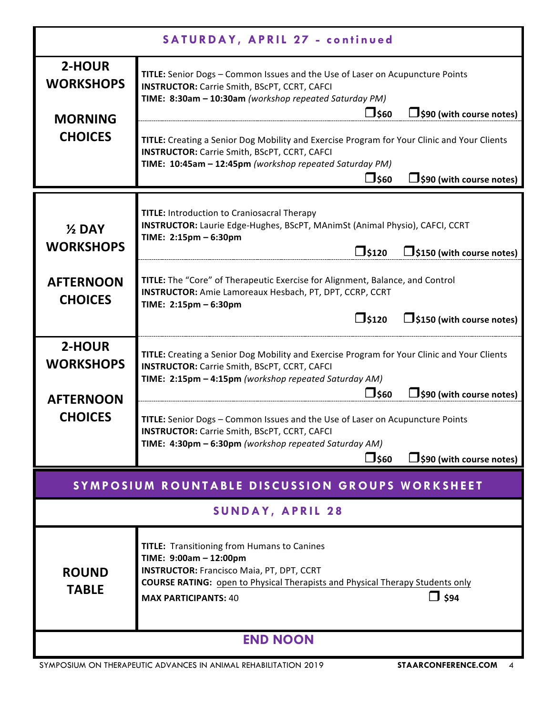| SATURDAY, APRIL 27 - continued                  |                                                                                                                                                                                                                                                                        |  |  |  |
|-------------------------------------------------|------------------------------------------------------------------------------------------------------------------------------------------------------------------------------------------------------------------------------------------------------------------------|--|--|--|
| 2-HOUR<br><b>WORKSHOPS</b><br><b>MORNING</b>    | TITLE: Senior Dogs - Common Issues and the Use of Laser on Acupuncture Points<br><b>INSTRUCTOR:</b> Carrie Smith, BScPT, CCRT, CAFCI<br>TIME: 8:30am - 10:30am (workshop repeated Saturday PM)<br>□\$60<br>$\Box$ \$90 (with course notes)                             |  |  |  |
| <b>CHOICES</b>                                  | TITLE: Creating a Senior Dog Mobility and Exercise Program for Your Clinic and Your Clients<br><b>INSTRUCTOR:</b> Carrie Smith, BScPT, CCRT, CAFCI<br>TIME: 10:45am - 12:45pm (workshop repeated Saturday PM)<br>コ\$60<br>$\Box$ \$90 (with course notes)              |  |  |  |
| $\frac{1}{2}$ DAY<br><b>WORKSHOPS</b>           | <b>TITLE:</b> Introduction to Craniosacral Therapy<br>INSTRUCTOR: Laurie Edge-Hughes, BScPT, MAnimSt (Animal Physio), CAFCI, CCRT<br>TIME: 2:15pm - 6:30pm<br>$\square$ \$120<br>$\Box$ \$150 (with course notes)                                                      |  |  |  |
| <b>AFTERNOON</b><br><b>CHOICES</b>              | TITLE: The "Core" of Therapeutic Exercise for Alignment, Balance, and Control<br>INSTRUCTOR: Amie Lamoreaux Hesbach, PT, DPT, CCRP, CCRT<br>TIME: 2:15pm - 6:30pm<br>$\square$ \$120<br>$\Box$ \$150 (with course notes)                                               |  |  |  |
| 2-HOUR<br><b>WORKSHOPS</b><br><b>AFTERNOON</b>  | TITLE: Creating a Senior Dog Mobility and Exercise Program for Your Clinic and Your Clients<br><b>INSTRUCTOR:</b> Carrie Smith, BScPT, CCRT, CAFCI<br>TIME: 2:15pm - 4:15pm (workshop repeated Saturday AM)<br>□\$60<br>$\Box$ \$90 (with course notes)                |  |  |  |
| <b>CHOICES</b>                                  | TITLE: Senior Dogs - Common Issues and the Use of Laser on Acupuncture Points<br><b>INSTRUCTOR:</b> Carrie Smith, BScPT, CCRT, CAFCI<br>TIME: 4:30pm - 6:30pm (workshop repeated Saturday AM)<br>$\Box$ \$60<br>$\Box$ \$90 (with course notes)                        |  |  |  |
| SYMPOSIUM ROUNTABLE DISCUSSION GROUPS WORKSHEET |                                                                                                                                                                                                                                                                        |  |  |  |
| <b>SUNDAY, APRIL 28</b>                         |                                                                                                                                                                                                                                                                        |  |  |  |
| <b>ROUND</b><br><b>TABLE</b>                    | <b>TITLE:</b> Transitioning from Humans to Canines<br>TIME: 9:00am - 12:00pm<br><b>INSTRUCTOR: Francisco Maia, PT, DPT, CCRT</b><br><b>COURSE RATING:</b> open to Physical Therapists and Physical Therapy Students only<br>$\Box$ \$94<br><b>MAX PARTICIPANTS: 40</b> |  |  |  |
| <b>END NOON</b>                                 |                                                                                                                                                                                                                                                                        |  |  |  |

SYMPOSIUM ON THERAPEUTIC ADVANCES IN ANIMAL REHABILITATION 2019 **STAARCONFERENCE.COM** 4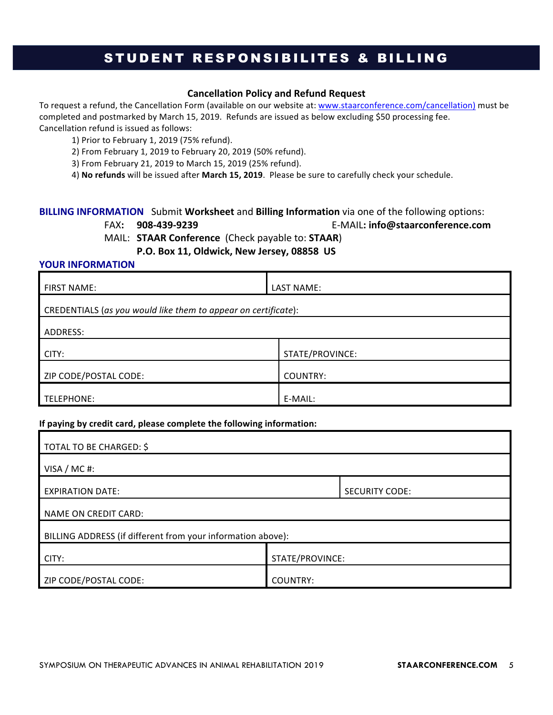### STUDENT RESPONSIBILITES & BILLING

#### **Cancellation Policy and Refund Request**

To request a refund, the Cancellation Form (available on our website at: www.staarconference.com/cancellation) must be completed and postmarked by March 15, 2019. Refunds are issued as below excluding \$50 processing fee. Cancellation refund is issued as follows:

1) Prior to February 1, 2019 (75% refund).

2) From February 1, 2019 to February 20, 2019 (50% refund).

3) From February 21, 2019 to March 15, 2019 (25% refund).

4) No refunds will be issued after March 15, 2019. Please be sure to carefully check your schedule.

#### **BILLING INFORMATION** Submit Worksheet and Billing Information via one of the following options:

FAX**: 908-439-9239**  E-MAIL**: info@staarconference.com**

MAIL: **STAAR Conference** (Check payable to: **STAAR**)

P.O. Box 11, Oldwick, New Jersey, 08858 US

#### **YOUR INFORMATION**

| <b>FIRST NAME:</b>                                             | LAST NAME:      |  |  |  |
|----------------------------------------------------------------|-----------------|--|--|--|
| CREDENTIALS (as you would like them to appear on certificate): |                 |  |  |  |
| ADDRESS:                                                       |                 |  |  |  |
| CITY:                                                          | STATE/PROVINCE: |  |  |  |
| ZIP CODE/POSTAL CODE:                                          | COUNTRY:        |  |  |  |
| TELEPHONE:                                                     | E-MAIL:         |  |  |  |

#### If paying by credit card, please complete the following information:

| TOTAL TO BE CHARGED: \$                                     |                       |  |  |  |
|-------------------------------------------------------------|-----------------------|--|--|--|
| VISA / MC#:                                                 |                       |  |  |  |
| <b>EXPIRATION DATE:</b>                                     | <b>SECURITY CODE:</b> |  |  |  |
| NAME ON CREDIT CARD:                                        |                       |  |  |  |
| BILLING ADDRESS (if different from your information above): |                       |  |  |  |
| CITY:                                                       | STATE/PROVINCE:       |  |  |  |
| ZIP CODE/POSTAL CODE:                                       | <b>COUNTRY:</b>       |  |  |  |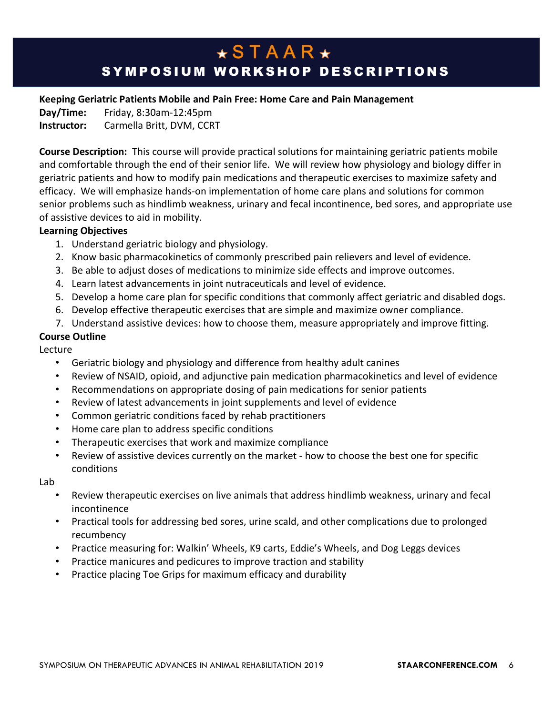# $\star$ STAAR $\star$ SYMPOSIUM WORKSHOP DESCRIPTIONS

#### **Keeping Geriatric Patients Mobile and Pain Free: Home Care and Pain Management**

**Day/Time:** Friday, 8:30am-12:45pm **Instructor:** Carmella Britt, DVM, CCRT

**Course Description:** This course will provide practical solutions for maintaining geriatric patients mobile and comfortable through the end of their senior life. We will review how physiology and biology differ in geriatric patients and how to modify pain medications and therapeutic exercises to maximize safety and efficacy. We will emphasize hands-on implementation of home care plans and solutions for common senior problems such as hindlimb weakness, urinary and fecal incontinence, bed sores, and appropriate use of assistive devices to aid in mobility.

#### **Learning Objectives**

- 1. Understand geriatric biology and physiology.
- 2. Know basic pharmacokinetics of commonly prescribed pain relievers and level of evidence.
- 3. Be able to adjust doses of medications to minimize side effects and improve outcomes.
- 4. Learn latest advancements in joint nutraceuticals and level of evidence.
- 5. Develop a home care plan for specific conditions that commonly affect geriatric and disabled dogs.
- 6. Develop effective therapeutic exercises that are simple and maximize owner compliance.
- 7. Understand assistive devices: how to choose them, measure appropriately and improve fitting.

#### **Course Outline**

Lecture

- Geriatric biology and physiology and difference from healthy adult canines
- Review of NSAID, opioid, and adjunctive pain medication pharmacokinetics and level of evidence
- Recommendations on appropriate dosing of pain medications for senior patients
- Review of latest advancements in joint supplements and level of evidence
- Common geriatric conditions faced by rehab practitioners
- Home care plan to address specific conditions
- Therapeutic exercises that work and maximize compliance
- Review of assistive devices currently on the market how to choose the best one for specific conditions

Lab

- Review therapeutic exercises on live animals that address hindlimb weakness, urinary and fecal incontinence
- Practical tools for addressing bed sores, urine scald, and other complications due to prolonged recumbency
- Practice measuring for: Walkin' Wheels, K9 carts, Eddie's Wheels, and Dog Leggs devices
- Practice manicures and pedicures to improve traction and stability
- Practice placing Toe Grips for maximum efficacy and durability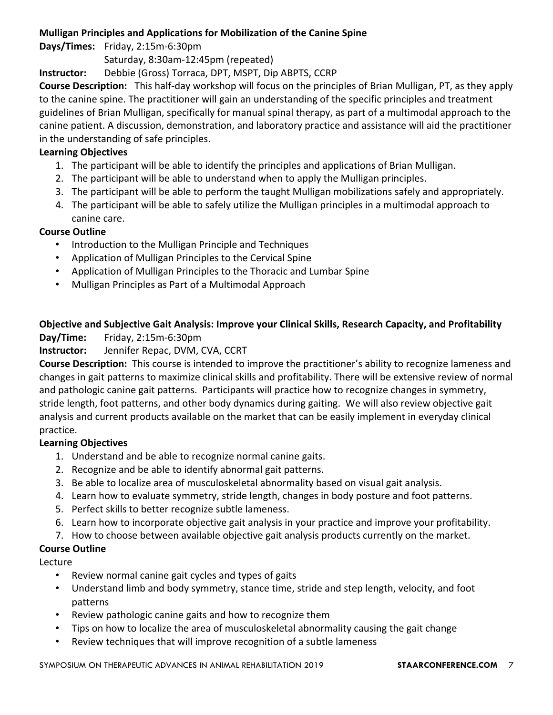#### **Mulligan Principles and Applications for Mobilization of the Canine Spine**

#### **Days/Times:** Friday, 2:15m-6:30pm

Saturday, 8:30am-12:45pm (repeated)

**Instructor:** Debbie (Gross) Torraca, DPT, MSPT, Dip ABPTS, CCRP

**Course Description:** This half-day workshop will focus on the principles of Brian Mulligan, PT, as they apply to the canine spine. The practitioner will gain an understanding of the specific principles and treatment guidelines of Brian Mulligan, specifically for manual spinal therapy, as part of a multimodal approach to the canine patient. A discussion, demonstration, and laboratory practice and assistance will aid the practitioner in the understanding of safe principles.

#### **Learning Objectives**

- 1. The participant will be able to identify the principles and applications of Brian Mulligan.
- 2. The participant will be able to understand when to apply the Mulligan principles.
- 3. The participant will be able to perform the taught Mulligan mobilizations safely and appropriately.
- 4. The participant will be able to safely utilize the Mulligan principles in a multimodal approach to canine care.

#### **Course Outline**

- Introduction to the Mulligan Principle and Techniques
- Application of Mulligan Principles to the Cervical Spine
- Application of Mulligan Principles to the Thoracic and Lumbar Spine
- Mulligan Principles as Part of a Multimodal Approach

### **Objective and Subjective Gait Analysis: Improve your Clinical Skills, Research Capacity, and Profitability**

#### **Day/Time:** Friday, 2:15m-6:30pm

#### **Instructor:** Jennifer Repac, DVM, CVA, CCRT

**Course Description:** This course is intended to improve the practitioner's ability to recognize lameness and changes in gait patterns to maximize clinical skills and profitability. There will be extensive review of normal and pathologic canine gait patterns. Participants will practice how to recognize changes in symmetry, stride length, foot patterns, and other body dynamics during gaiting. We will also review objective gait analysis and current products available on the market that can be easily implement in everyday clinical practice.

#### **Learning Objectives**

- 1. Understand and be able to recognize normal canine gaits.
- 2. Recognize and be able to identify abnormal gait patterns.
- 3. Be able to localize area of musculoskeletal abnormality based on visual gait analysis.
- 4. Learn how to evaluate symmetry, stride length, changes in body posture and foot patterns.
- 5. Perfect skills to better recognize subtle lameness.
- 6. Learn how to incorporate objective gait analysis in your practice and improve your profitability.
- 7. How to choose between available objective gait analysis products currently on the market.

#### **Course Outline**

Lecture

- Review normal canine gait cycles and types of gaits
- Understand limb and body symmetry, stance time, stride and step length, velocity, and foot patterns
- Review pathologic canine gaits and how to recognize them
- Tips on how to localize the area of musculoskeletal abnormality causing the gait change
- Review techniques that will improve recognition of a subtle lameness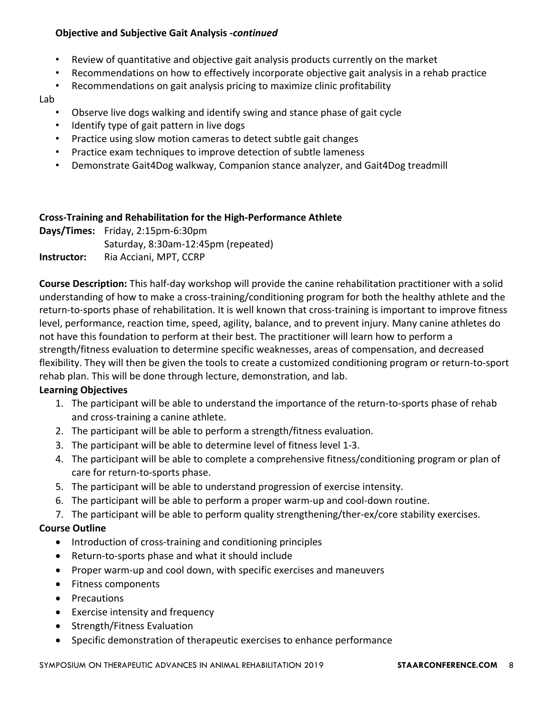#### **Objective and Subjective Gait Analysis -continued**

- Review of quantitative and objective gait analysis products currently on the market
- Recommendations on how to effectively incorporate objective gait analysis in a rehab practice
- Recommendations on gait analysis pricing to maximize clinic profitability

#### Lab

- Observe live dogs walking and identify swing and stance phase of gait cycle
- Identify type of gait pattern in live dogs
- Practice using slow motion cameras to detect subtle gait changes
- Practice exam techniques to improve detection of subtle lameness
- Demonstrate Gait4Dog walkway, Companion stance analyzer, and Gait4Dog treadmill

#### **Cross-Training and Rehabilitation for the High-Performance Athlete**

**Days/Times:** Friday, 2:15pm-6:30pm Saturday, 8:30am-12:45pm (repeated) **Instructor:** Ria Acciani, MPT, CCRP

**Course Description:** This half-day workshop will provide the canine rehabilitation practitioner with a solid understanding of how to make a cross-training/conditioning program for both the healthy athlete and the return-to-sports phase of rehabilitation. It is well known that cross-training is important to improve fitness level, performance, reaction time, speed, agility, balance, and to prevent injury. Many canine athletes do not have this foundation to perform at their best. The practitioner will learn how to perform a strength/fitness evaluation to determine specific weaknesses, areas of compensation, and decreased flexibility. They will then be given the tools to create a customized conditioning program or return-to-sport rehab plan. This will be done through lecture, demonstration, and lab.

#### **Learning Objectives**

- 1. The participant will be able to understand the importance of the return-to-sports phase of rehab and cross-training a canine athlete.
- 2. The participant will be able to perform a strength/fitness evaluation.
- 3. The participant will be able to determine level of fitness level 1-3.
- 4. The participant will be able to complete a comprehensive fitness/conditioning program or plan of care for return-to-sports phase.
- 5. The participant will be able to understand progression of exercise intensity.
- 6. The participant will be able to perform a proper warm-up and cool-down routine.
- 7. The participant will be able to perform quality strengthening/ther-ex/core stability exercises.

#### **Course Outline**

- Introduction of cross-training and conditioning principles
- Return-to-sports phase and what it should include
- Proper warm-up and cool down, with specific exercises and maneuvers
- Fitness components
- Precautions
- $\bullet$  Exercise intensity and frequency
- Strength/Fitness Evaluation
- Specific demonstration of therapeutic exercises to enhance performance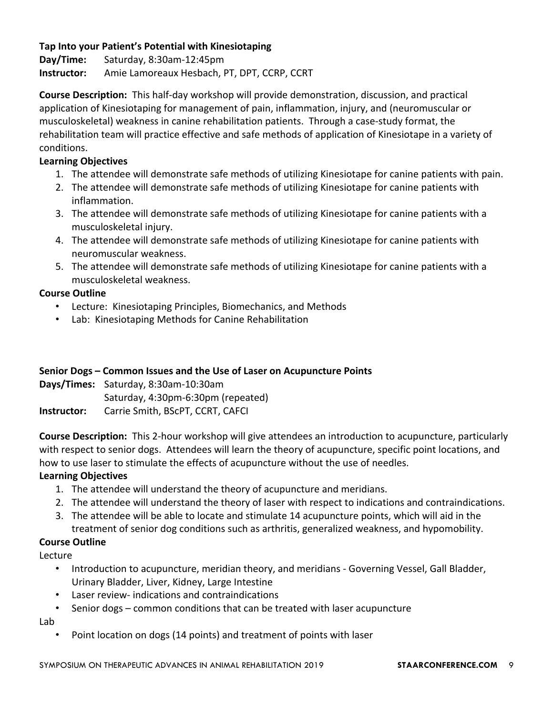#### Tap Into your Patient's Potential with Kinesiotaping

**Day/Time:** Saturday, 8:30am-12:45pm **Instructor:** Amie Lamoreaux Hesbach, PT, DPT, CCRP, CCRT

**Course Description:** This half-day workshop will provide demonstration, discussion, and practical application of Kinesiotaping for management of pain, inflammation, injury, and (neuromuscular or musculoskeletal) weakness in canine rehabilitation patients. Through a case-study format, the rehabilitation team will practice effective and safe methods of application of Kinesiotape in a variety of conditions.

#### **Learning Objectives**

- 1. The attendee will demonstrate safe methods of utilizing Kinesiotape for canine patients with pain.
- 2. The attendee will demonstrate safe methods of utilizing Kinesiotape for canine patients with inflammation.
- 3. The attendee will demonstrate safe methods of utilizing Kinesiotape for canine patients with a musculoskeletal injury.
- 4. The attendee will demonstrate safe methods of utilizing Kinesiotape for canine patients with neuromuscular weakness.
- 5. The attendee will demonstrate safe methods of utilizing Kinesiotape for canine patients with a musculoskeletal weakness.

#### **Course Outline**

- Lecture: Kinesiotaping Principles, Biomechanics, and Methods
- Lab: Kinesiotaping Methods for Canine Rehabilitation

#### **Senior Dogs – Common Issues and the Use of Laser on Acupuncture Points**

**Days/Times:** Saturday, 8:30am-10:30am Saturday, 4:30pm-6:30pm (repeated) **Instructor:** Carrie Smith, BScPT, CCRT, CAFCI

**Course Description:** This 2-hour workshop will give attendees an introduction to acupuncture, particularly with respect to senior dogs. Attendees will learn the theory of acupuncture, specific point locations, and how to use laser to stimulate the effects of acupuncture without the use of needles.

#### **Learning Objectives**

- 1. The attendee will understand the theory of acupuncture and meridians.
- 2. The attendee will understand the theory of laser with respect to indications and contraindications.
- 3. The attendee will be able to locate and stimulate 14 acupuncture points, which will aid in the treatment of senior dog conditions such as arthritis, generalized weakness, and hypomobility.

#### **Course Outline**

Lecture

- Introduction to acupuncture, meridian theory, and meridians Governing Vessel, Gall Bladder, Urinary Bladder, Liver, Kidney, Large Intestine
- Laser review- indications and contraindications
- Senior dogs common conditions that can be treated with laser acupuncture

Lab

• Point location on dogs (14 points) and treatment of points with laser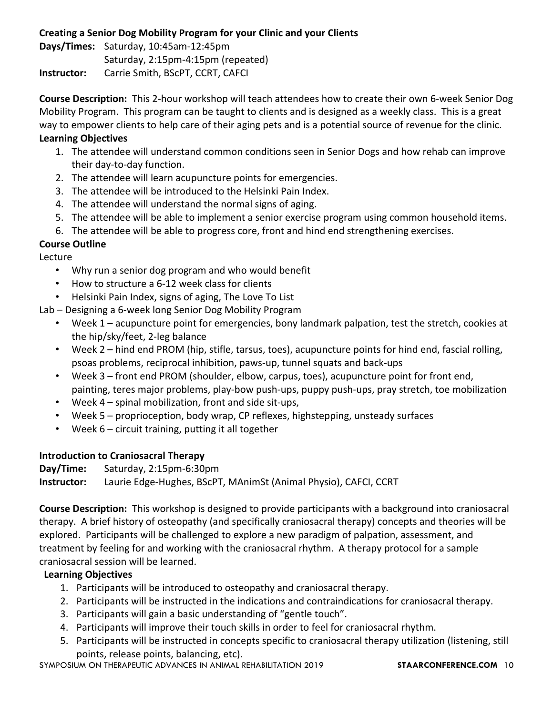#### **Creating a Senior Dog Mobility Program for your Clinic and your Clients**

**Days/Times:** Saturday, 10:45am-12:45pm Saturday, 2:15pm-4:15pm (repeated) **Instructor:** Carrie Smith, BScPT, CCRT, CAFCI

**Course Description:** This 2-hour workshop will teach attendees how to create their own 6-week Senior Dog Mobility Program. This program can be taught to clients and is designed as a weekly class. This is a great way to empower clients to help care of their aging pets and is a potential source of revenue for the clinic.

#### **Learning Objectives**

- 1. The attendee will understand common conditions seen in Senior Dogs and how rehab can improve their day-to-day function.
- 2. The attendee will learn acupuncture points for emergencies.
- 3. The attendee will be introduced to the Helsinki Pain Index.
- 4. The attendee will understand the normal signs of aging.
- 5. The attendee will be able to implement a senior exercise program using common household items.
- 6. The attendee will be able to progress core, front and hind end strengthening exercises.

#### **Course Outline**

Lecture

- Why run a senior dog program and who would benefit
- How to structure a 6-12 week class for clients
- Helsinki Pain Index, signs of aging, The Love To List
- Lab Designing a 6-week long Senior Dog Mobility Program
	- Week 1 acupuncture point for emergencies, bony landmark palpation, test the stretch, cookies at the hip/sky/feet, 2-leg balance
	- Week 2 hind end PROM (hip, stifle, tarsus, toes), acupuncture points for hind end, fascial rolling, psoas problems, reciprocal inhibition, paws-up, tunnel squats and back-ups
	- Week 3 front end PROM (shoulder, elbow, carpus, toes), acupuncture point for front end, painting, teres major problems, play-bow push-ups, puppy push-ups, pray stretch, toe mobilization
	- Week  $4$  spinal mobilization, front and side sit-ups,
	- Week 5 proprioception, body wrap, CP reflexes, highstepping, unsteady surfaces
	- Week  $6$  circuit training, putting it all together

#### **Introduction to Craniosacral Therapy**

**Day/Time:** Saturday, 2:15pm-6:30pm

**Instructor:** Laurie Edge-Hughes, BScPT, MAnimSt (Animal Physio), CAFCI, CCRT

**Course Description:** This workshop is designed to provide participants with a background into craniosacral therapy. A brief history of osteopathy (and specifically craniosacral therapy) concepts and theories will be explored. Participants will be challenged to explore a new paradigm of palpation, assessment, and treatment by feeling for and working with the craniosacral rhythm. A therapy protocol for a sample craniosacral session will be learned.

#### **Learning Objectives**

- 1. Participants will be introduced to osteopathy and craniosacral therapy.
- 2. Participants will be instructed in the indications and contraindications for craniosacral therapy.
- 3. Participants will gain a basic understanding of "gentle touch".
- 4. Participants will improve their touch skills in order to feel for craniosacral rhythm.
- 5. Participants will be instructed in concepts specific to craniosacral therapy utilization (listening, still points, release points, balancing, etc).

SYMPOSIUM ON THERAPEUTIC ADVANCES IN ANIMAL REHABILITATION 2019 **STAARCONFERENCE.COM** 10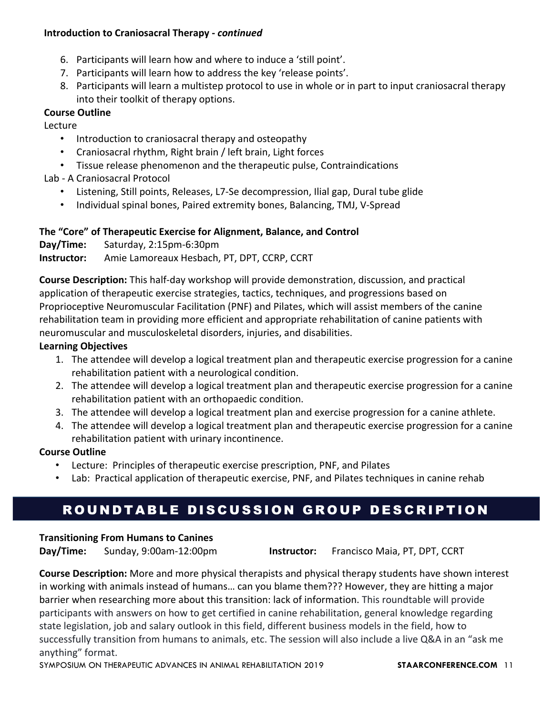#### **Introduction to Craniosacral Therapy - continued**

- 6. Participants will learn how and where to induce a 'still point'.
- 7. Participants will learn how to address the key 'release points'.
- 8. Participants will learn a multistep protocol to use in whole or in part to input craniosacral therapy into their toolkit of therapy options.

#### **Course Outline**

Lecture

- Introduction to craniosacral therapy and osteopathy
- Craniosacral rhythm, Right brain / left brain, Light forces
- Tissue release phenomenon and the therapeutic pulse, Contraindications

Lab - A Craniosacral Protocol

- Listening, Still points, Releases, L7-Se decompression, Ilial gap, Dural tube glide
- Individual spinal bones, Paired extremity bones, Balancing, TMJ, V-Spread

#### The "Core" of Therapeutic Exercise for Alignment, Balance, and Control

**Day/Time:** Saturday, 2:15pm-6:30pm **Instructor:** Amie Lamoreaux Hesbach, PT, DPT, CCRP, CCRT

**Course Description:** This half-day workshop will provide demonstration, discussion, and practical application of therapeutic exercise strategies, tactics, techniques, and progressions based on Proprioceptive Neuromuscular Facilitation (PNF) and Pilates, which will assist members of the canine rehabilitation team in providing more efficient and appropriate rehabilitation of canine patients with neuromuscular and musculoskeletal disorders, injuries, and disabilities.

#### **Learning Objectives**

- 1. The attendee will develop a logical treatment plan and therapeutic exercise progression for a canine rehabilitation patient with a neurological condition.
- 2. The attendee will develop a logical treatment plan and therapeutic exercise progression for a canine rehabilitation patient with an orthopaedic condition.
- 3. The attendee will develop a logical treatment plan and exercise progression for a canine athlete.
- 4. The attendee will develop a logical treatment plan and therapeutic exercise progression for a canine rehabilitation patient with urinary incontinence.

#### **Course Outline**

- Lecture: Principles of therapeutic exercise prescription, PNF, and Pilates
- Lab: Practical application of therapeutic exercise, PNF, and Pilates techniques in canine rehab

# ROUNDTABLE DISCUSSION GROUP DESCRIPTION

#### **Transitioning From Humans to Canines**

**Day/Time:** Sunday, 9:00am-12:00pm **Instructor:** Francisco Maia, PT, DPT, CCRT

**Course Description:** More and more physical therapists and physical therapy students have shown interest in working with animals instead of humans... can you blame them??? However, they are hitting a major barrier when researching more about this transition: lack of information. This roundtable will provide participants with answers on how to get certified in canine rehabilitation, general knowledge regarding state legislation, job and salary outlook in this field, different business models in the field, how to successfully transition from humans to animals, etc. The session will also include a live Q&A in an "ask me anything" format.

SYMPOSIUM ON THERAPEUTIC ADVANCES IN ANIMAL REHABILITATION 2019 **STAARCONFERENCE.COM** 11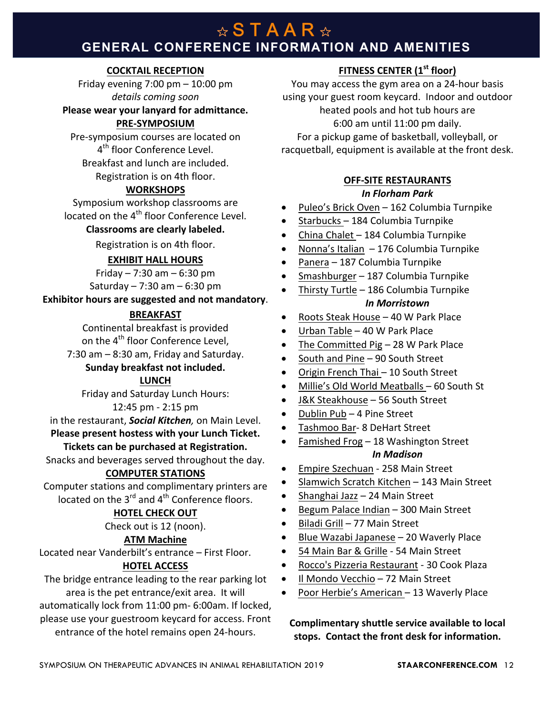# **GENERAL CONFERENCE INFORMATION AND AMENITIES**

#### **COCKTAIL RECEPTION**

Friday evening  $7:00$  pm  $- 10:00$  pm *details coming soon*

#### Please wear your lanyard for admittance.

#### **PRE-SYMPOSIUM**

Pre-symposium courses are located on 4<sup>th</sup> floor Conference Level. Breakfast and lunch are included.

#### Registration is on 4th floor.

#### **WORKSHOPS**

Symposium workshop classrooms are located on the 4<sup>th</sup> floor Conference Level.

#### **Classrooms are clearly labeled.**

Registration is on 4th floor.

#### **EXHIBIT HALL HOURS**

Friday  $- 7:30$  am  $- 6:30$  pm Saturday  $- 7:30$  am  $- 6:30$  pm

**Exhibitor hours are suggested and not mandatory.** 

#### **BREAKFAST**

Continental breakfast is provided

- on the 4<sup>th</sup> floor Conference Level,
- $7:30$  am  $-8:30$  am, Friday and Saturday.

#### **Sunday breakfast not included.**

#### **LUNCH**

Friday and Saturday Lunch Hours:

#### 12:45 pm - 2:15 pm

in the restaurant, **Social Kitchen**, on Main Level.

#### Please present hostess with your Lunch Ticket.

### **Tickets can be purchased at Registration.**

Snacks and beverages served throughout the day.

#### **COMPUTER STATIONS**

Computer stations and complimentary printers are located on the  $3^{rd}$  and  $4^{th}$  Conference floors.

#### **HOTEL CHECK OUT**

Check out is 12 (noon).

#### **ATM Machine**

Located near Vanderbilt's entrance – First Floor.

#### **HOTEL ACCESS**

The bridge entrance leading to the rear parking lot area is the pet entrance/exit area. It will automatically lock from 11:00 pm- 6:00am. If locked, please use your guestroom keycard for access. Front entrance of the hotel remains open 24-hours.

#### **FITNESS CENTER (1st floor)**

You may access the gym area on a 24-hour basis using your guest room keycard. Indoor and outdoor heated pools and hot tub hours are 6:00 am until 11:00 pm daily. For a pickup game of basketball, volleyball, or racquetball, equipment is available at the front desk.

#### **OFF-SITE RESTAURANTS** *In Florham Park*

- Puleo's Brick Oven 162 Columbia Turnpike
- Starbucks 184 Columbia Turnpike
- China Chalet  $-$  184 Columbia Turnpike
- Nonna's Italian  $-176$  Columbia Turnpike
- Panera 187 Columbia Turnpike
- Smashburger 187 Columbia Turnpike
- Thirsty Turtle 186 Columbia Turnpike *In Morristown*
- Roots Steak House 40 W Park Place
- Urban Table 40 W Park Place
- The Committed Pig  $-$  28 W Park Place
- South and Pine 90 South Street
- Origin French Thai 10 South Street
- Millie's Old World Meatballs 60 South St
- J&K Steakhouse 56 South Street
- Dublin Pub 4 Pine Street
- Tashmoo Bar- 8 DeHart Street
- Famished Frog 18 Washington Street *In Madison*
- Empire Szechuan 258 Main Street
- Slamwich Scratch Kitchen 143 Main Street
- Shanghai Jazz 24 Main Street
- Begum Palace Indian 300 Main Street
- Biladi Grill 77 Main Street
- Blue Wazabi Japanese 20 Waverly Place
- 54 Main Bar & Grille 54 Main Street
- Rocco's Pizzeria Restaurant 30 Cook Plaza
- Il Mondo Vecchio 72 Main Street
- Poor Herbie's American 13 Waverly Place

**Complimentary shuttle service available to local** stops. Contact the front desk for information.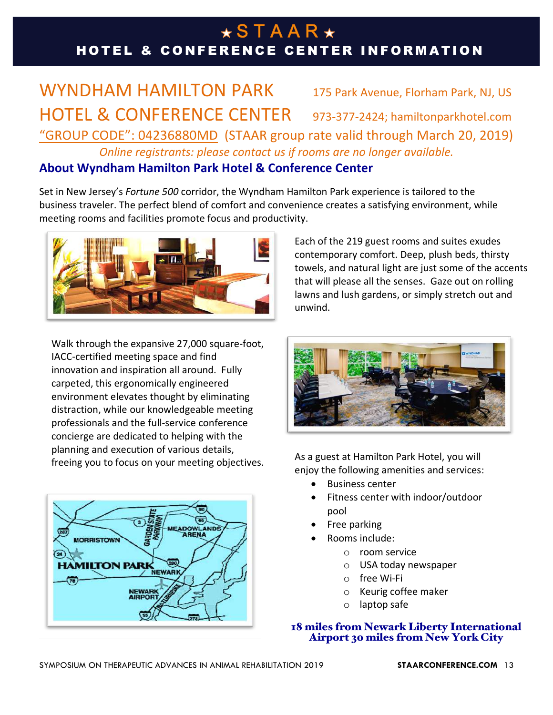# $\star$ STAAR $\star$ HOTEL & CONFERENCE CENTER INFORMATION

# WYNDHAM HAMILTON PARK 175 Park Avenue, Florham Park, NJ, US HOTEL & CONFERENCE CENTER 973-377-2424; hamiltonparkhotel.com "GROUP CODE": 04236880MD (STAAR group rate valid through March 20, 2019) *Online registrants: please contact us if rooms are no longer available.*

### **About Wyndham Hamilton Park Hotel & Conference Center**

Set in New Jersey's *Fortune 500* corridor, the Wyndham Hamilton Park experience is tailored to the business traveler. The perfect blend of comfort and convenience creates a satisfying environment, while meeting rooms and facilities promote focus and productivity.



Walk through the expansive 27,000 square-foot, IACC-certified meeting space and find innovation and inspiration all around. Fully carpeted, this ergonomically engineered environment elevates thought by eliminating distraction, while our knowledgeable meeting professionals and the full-service conference concierge are dedicated to helping with the planning and execution of various details, freeing you to focus on your meeting objectives.



Each of the 219 guest rooms and suites exudes contemporary comfort. Deep, plush beds, thirsty towels, and natural light are just some of the accents that will please all the senses. Gaze out on rolling lawns and lush gardens, or simply stretch out and unwind. 



As a guest at Hamilton Park Hotel, you will enjoy the following amenities and services:

- Business center
- Fitness center with indoor/outdoor pool
- Free parking
- Rooms include:
	- o room service
	- o USA today newspaper
	- o free Wi-Fi
	- $\circ$  Keurig coffee maker
	- $\circ$  laptop safe

# 18 miles from Newark Liberty International Airport 30 miles from New York City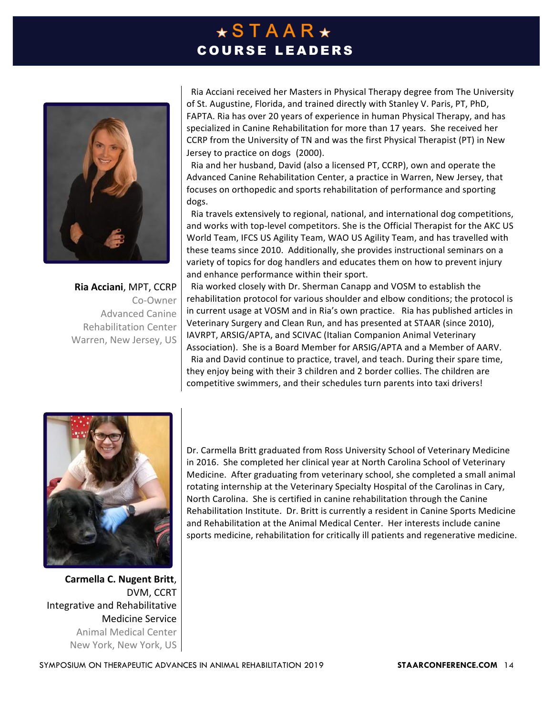# $\star$ STAAR $\star$ COURSE LEADERS



**Ria Acciani**, MPT, CCRP Co-Owner Advanced Canine Rehabilitation Center Warren, New Jersey, US

Ria Acciani received her Masters in Physical Therapy degree from The University of St. Augustine, Florida, and trained directly with Stanley V. Paris, PT, PhD, FAPTA. Ria has over 20 years of experience in human Physical Therapy, and has specialized in Canine Rehabilitation for more than 17 years. She received her CCRP from the University of TN and was the first Physical Therapist (PT) in New Jersey to practice on dogs (2000).

Ria and her husband, David (also a licensed PT, CCRP), own and operate the Advanced Canine Rehabilitation Center, a practice in Warren, New Jersey, that focuses on orthopedic and sports rehabilitation of performance and sporting dogs. 

Ria travels extensively to regional, national, and international dog competitions, and works with top-level competitors. She is the Official Therapist for the AKC US World Team, IFCS US Agility Team, WAO US Agility Team, and has travelled with these teams since 2010. Additionally, she provides instructional seminars on a variety of topics for dog handlers and educates them on how to prevent injury and enhance performance within their sport.

Ria worked closely with Dr. Sherman Canapp and VOSM to establish the rehabilitation protocol for various shoulder and elbow conditions; the protocol is in current usage at VOSM and in Ria's own practice. Ria has published articles in Veterinary Surgery and Clean Run, and has presented at STAAR (since 2010), IAVRPT, ARSIG/APTA, and SCIVAC (Italian Companion Animal Veterinary Association). She is a Board Member for ARSIG/APTA and a Member of AARV. Ria and David continue to practice, travel, and teach. During their spare time, they enjoy being with their 3 children and 2 border collies. The children are competitive swimmers, and their schedules turn parents into taxi drivers!



**Carmella C. Nugent Britt**, DVM, CCRT Integrative and Rehabilitative Medicine Service Animal Medical Center New York, New York, US

Dr. Carmella Britt graduated from Ross University School of Veterinary Medicine in 2016. She completed her clinical year at North Carolina School of Veterinary Medicine. After graduating from veterinary school, she completed a small animal rotating internship at the Veterinary Specialty Hospital of the Carolinas in Cary, North Carolina. She is certified in canine rehabilitation through the Canine Rehabilitation Institute. Dr. Britt is currently a resident in Canine Sports Medicine and Rehabilitation at the Animal Medical Center. Her interests include canine sports medicine, rehabilitation for critically ill patients and regenerative medicine.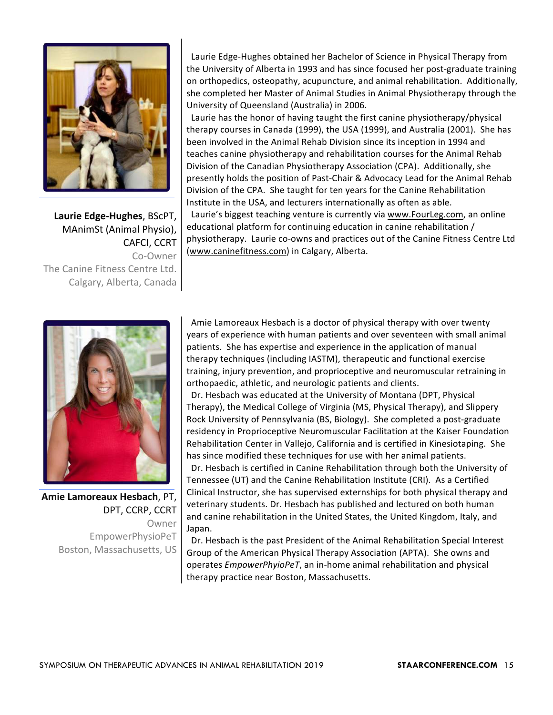

**Laurie Edge-Hughes**, BScPT, MAnimSt (Animal Physio), **CAFCI, CCRT** Co-Owner The Canine Fitness Centre Ltd. Calgary, Alberta, Canada

Laurie Edge-Hughes obtained her Bachelor of Science in Physical Therapy from the University of Alberta in 1993 and has since focused her post-graduate training on orthopedics, osteopathy, acupuncture, and animal rehabilitation. Additionally, she completed her Master of Animal Studies in Animal Physiotherapy through the University of Queensland (Australia) in 2006.

Laurie has the honor of having taught the first canine physiotherapy/physical therapy courses in Canada (1999), the USA (1999), and Australia (2001). She has been involved in the Animal Rehab Division since its inception in 1994 and teaches canine physiotherapy and rehabilitation courses for the Animal Rehab Division of the Canadian Physiotherapy Association (CPA). Additionally, she presently holds the position of Past-Chair & Advocacy Lead for the Animal Rehab Division of the CPA. She taught for ten years for the Canine Rehabilitation Institute in the USA, and lecturers internationally as often as able.

Laurie's biggest teaching venture is currently via www.FourLeg.com, an online educational platform for continuing education in canine rehabilitation / physiotherapy. Laurie co-owns and practices out of the Canine Fitness Centre Ltd (www.caninefitness.com) in Calgary, Alberta.



**Amie Lamoreaux Hesbach**, PT, DPT, CCRP, CCRT Owner EmpowerPhysioPeT Boston, Massachusetts, US

Amie Lamoreaux Hesbach is a doctor of physical therapy with over twenty years of experience with human patients and over seventeen with small animal patients. She has expertise and experience in the application of manual therapy techniques (including IASTM), therapeutic and functional exercise training, injury prevention, and proprioceptive and neuromuscular retraining in orthopaedic, athletic, and neurologic patients and clients.

Dr. Hesbach was educated at the University of Montana (DPT, Physical Therapy), the Medical College of Virginia (MS, Physical Therapy), and Slippery Rock University of Pennsylvania (BS, Biology). She completed a post-graduate residency in Proprioceptive Neuromuscular Facilitation at the Kaiser Foundation Rehabilitation Center in Vallejo, California and is certified in Kinesiotaping. She has since modified these techniques for use with her animal patients.

Dr. Hesbach is certified in Canine Rehabilitation through both the University of Tennessee (UT) and the Canine Rehabilitation Institute (CRI). As a Certified Clinical Instructor, she has supervised externships for both physical therapy and veterinary students. Dr. Hesbach has published and lectured on both human and canine rehabilitation in the United States, the United Kingdom, Italy, and Japan. 

Dr. Hesbach is the past President of the Animal Rehabilitation Special Interest Group of the American Physical Therapy Association (APTA). She owns and operates *EmpowerPhyioPeT*, an in-home animal rehabilitation and physical therapy practice near Boston, Massachusetts.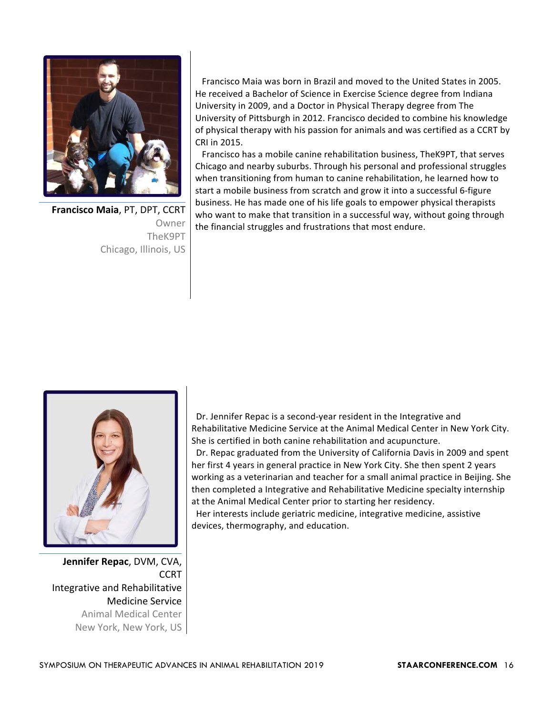

**Francisco Maia, PT, DPT, CCRT** Owner TheK9PT Chicago, Illinois, US

Francisco Maia was born in Brazil and moved to the United States in 2005. He received a Bachelor of Science in Exercise Science degree from Indiana University in 2009, and a Doctor in Physical Therapy degree from The University of Pittsburgh in 2012. Francisco decided to combine his knowledge of physical therapy with his passion for animals and was certified as a CCRT by CRI in 2015.

Francisco has a mobile canine rehabilitation business, TheK9PT, that serves Chicago and nearby suburbs. Through his personal and professional struggles when transitioning from human to canine rehabilitation, he learned how to start a mobile business from scratch and grow it into a successful 6-figure business. He has made one of his life goals to empower physical therapists who want to make that transition in a successful way, without going through the financial struggles and frustrations that most endure.



**Jennifer Repac, DVM, CVA, CCRT** Integrative and Rehabilitative Medicine Service Animal Medical Center New York, New York, US

Dr. Jennifer Repac is a second-year resident in the Integrative and Rehabilitative Medicine Service at the Animal Medical Center in New York City. She is certified in both canine rehabilitation and acupuncture.

Dr. Repac graduated from the University of California Davis in 2009 and spent her first 4 years in general practice in New York City. She then spent 2 years working as a veterinarian and teacher for a small animal practice in Beijing. She then completed a Integrative and Rehabilitative Medicine specialty internship at the Animal Medical Center prior to starting her residency.

Her interests include geriatric medicine, integrative medicine, assistive devices, thermography, and education.